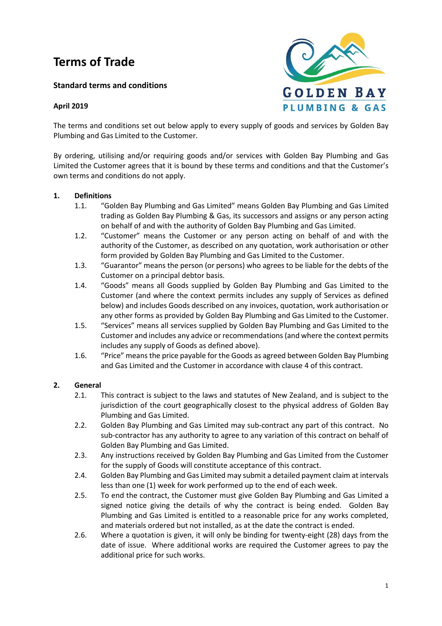# **Terms of Trade**

**Standard terms and conditions**

## **April 2019**



The terms and conditions set out below apply to every supply of goods and services by Golden Bay Plumbing and Gas Limited to the Customer.

By ordering, utilising and/or requiring goods and/or services with Golden Bay Plumbing and Gas Limited the Customer agrees that it is bound by these terms and conditions and that the Customer's own terms and conditions do not apply.

#### **1. Definitions**

- 1.1. "Golden Bay Plumbing and Gas Limited" means Golden Bay Plumbing and Gas Limited trading as Golden Bay Plumbing & Gas, its successors and assigns or any person acting on behalf of and with the authority of Golden Bay Plumbing and Gas Limited.
- 1.2. "Customer" means the Customer or any person acting on behalf of and with the authority of the Customer, as described on any quotation, work authorisation or other form provided by Golden Bay Plumbing and Gas Limited to the Customer.
- 1.3. "Guarantor" means the person (or persons) who agrees to be liable for the debts of the Customer on a principal debtor basis.
- 1.4. "Goods" means all Goods supplied by Golden Bay Plumbing and Gas Limited to the Customer (and where the context permits includes any supply of Services as defined below) and includes Goods described on any invoices, quotation, work authorisation or any other forms as provided by Golden Bay Plumbing and Gas Limited to the Customer.
- 1.5. "Services" means all services supplied by Golden Bay Plumbing and Gas Limited to the Customer and includes any advice or recommendations (and where the context permits includes any supply of Goods as defined above).
- 1.6. "Price" means the price payable for the Goods as agreed between Golden Bay Plumbing and Gas Limited and the Customer in accordance with clause 4 of this contract.

## **2. General**

- 2.1. This contract is subject to the laws and statutes of New Zealand, and is subject to the jurisdiction of the court geographically closest to the physical address of Golden Bay Plumbing and Gas Limited.
- 2.2. Golden Bay Plumbing and Gas Limited may sub-contract any part of this contract. No sub-contractor has any authority to agree to any variation of this contract on behalf of Golden Bay Plumbing and Gas Limited.
- 2.3. Any instructions received by Golden Bay Plumbing and Gas Limited from the Customer for the supply of Goods will constitute acceptance of this contract.
- 2.4. Golden Bay Plumbing and Gas Limited may submit a detailed payment claim at intervals less than one (1) week for work performed up to the end of each week.
- 2.5. To end the contract, the Customer must give Golden Bay Plumbing and Gas Limited a signed notice giving the details of why the contract is being ended. Golden Bay Plumbing and Gas Limited is entitled to a reasonable price for any works completed, and materials ordered but not installed, as at the date the contract is ended.
- 2.6. Where a quotation is given, it will only be binding for twenty-eight (28) days from the date of issue. Where additional works are required the Customer agrees to pay the additional price for such works.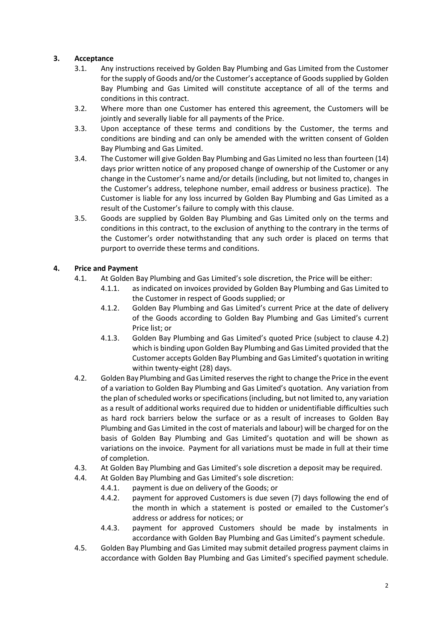## **3. Acceptance**

- 3.1. Any instructions received by Golden Bay Plumbing and Gas Limited from the Customer for the supply of Goods and/or the Customer's acceptance of Goods supplied by Golden Bay Plumbing and Gas Limited will constitute acceptance of all of the terms and conditions in this contract.
- 3.2. Where more than one Customer has entered this agreement, the Customers will be jointly and severally liable for all payments of the Price.
- 3.3. Upon acceptance of these terms and conditions by the Customer, the terms and conditions are binding and can only be amended with the written consent of Golden Bay Plumbing and Gas Limited.
- 3.4. The Customer will give Golden Bay Plumbing and Gas Limited no less than fourteen (14) days prior written notice of any proposed change of ownership of the Customer or any change in the Customer's name and/or details (including, but not limited to, changes in the Customer's address, telephone number, email address or business practice). The Customer is liable for any loss incurred by Golden Bay Plumbing and Gas Limited as a result of the Customer's failure to comply with this clause.
- 3.5. Goods are supplied by Golden Bay Plumbing and Gas Limited only on the terms and conditions in this contract, to the exclusion of anything to the contrary in the terms of the Customer's order notwithstanding that any such order is placed on terms that purport to override these terms and conditions.

## **4. Price and Payment**

- 4.1. At Golden Bay Plumbing and Gas Limited's sole discretion, the Price will be either:
	- 4.1.1. as indicated on invoices provided by Golden Bay Plumbing and Gas Limited to the Customer in respect of Goods supplied; or
	- 4.1.2. Golden Bay Plumbing and Gas Limited's current Price at the date of delivery of the Goods according to Golden Bay Plumbing and Gas Limited's current Price list; or
	- 4.1.3. Golden Bay Plumbing and Gas Limited's quoted Price (subject to clause 4.2) which is binding upon Golden Bay Plumbing and Gas Limited provided that the Customer accepts Golden Bay Plumbing and Gas Limited's quotation in writing within twenty-eight (28) days.
- 4.2. Golden Bay Plumbing and Gas Limited reserves the right to change the Price in the event of a variation to Golden Bay Plumbing and Gas Limited's quotation. Any variation from the plan of scheduled works or specifications (including, but not limited to, any variation as a result of additional works required due to hidden or unidentifiable difficulties such as hard rock barriers below the surface or as a result of increases to Golden Bay Plumbing and Gas Limited in the cost of materials and labour) will be charged for on the basis of Golden Bay Plumbing and Gas Limited's quotation and will be shown as variations on the invoice. Payment for all variations must be made in full at their time of completion.
- 4.3. At Golden Bay Plumbing and Gas Limited's sole discretion a deposit may be required.
- 4.4. At Golden Bay Plumbing and Gas Limited's sole discretion:
	- 4.4.1. payment is due on delivery of the Goods; or
	- 4.4.2. payment for approved Customers is due seven (7) days following the end of the month in which a statement is posted or emailed to the Customer's address or address for notices; or
	- 4.4.3. payment for approved Customers should be made by instalments in accordance with Golden Bay Plumbing and Gas Limited's payment schedule.
- 4.5. Golden Bay Plumbing and Gas Limited may submit detailed progress payment claims in accordance with Golden Bay Plumbing and Gas Limited's specified payment schedule.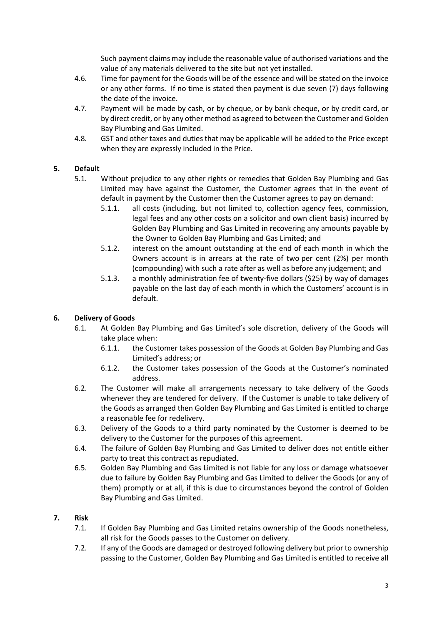Such payment claims may include the reasonable value of authorised variations and the value of any materials delivered to the site but not yet installed.

- 4.6. Time for payment for the Goods will be of the essence and will be stated on the invoice or any other forms. If no time is stated then payment is due seven (7) days following the date of the invoice.
- 4.7. Payment will be made by cash, or by cheque, or by bank cheque, or by credit card, or by direct credit, or by any other method as agreed to between the Customer and Golden Bay Plumbing and Gas Limited.
- 4.8. GST and other taxes and duties that may be applicable will be added to the Price except when they are expressly included in the Price.

# **5. Default**

- 5.1. Without prejudice to any other rights or remedies that Golden Bay Plumbing and Gas Limited may have against the Customer, the Customer agrees that in the event of default in payment by the Customer then the Customer agrees to pay on demand:
	- 5.1.1. all costs (including, but not limited to, collection agency fees, commission, legal fees and any other costs on a solicitor and own client basis) incurred by Golden Bay Plumbing and Gas Limited in recovering any amounts payable by the Owner to Golden Bay Plumbing and Gas Limited; and
	- 5.1.2. interest on the amount outstanding at the end of each month in which the Owners account is in arrears at the rate of two per cent (2%) per month (compounding) with such a rate after as well as before any judgement; and
	- 5.1.3. a monthly administration fee of twenty-five dollars (\$25) by way of damages payable on the last day of each month in which the Customers' account is in default.

# **6. Delivery of Goods**

- 6.1. At Golden Bay Plumbing and Gas Limited's sole discretion, delivery of the Goods will take place when:
	- 6.1.1. the Customer takes possession of the Goods at Golden Bay Plumbing and Gas Limited's address; or
	- 6.1.2. the Customer takes possession of the Goods at the Customer's nominated address.
- 6.2. The Customer will make all arrangements necessary to take delivery of the Goods whenever they are tendered for delivery. If the Customer is unable to take delivery of the Goods as arranged then Golden Bay Plumbing and Gas Limited is entitled to charge a reasonable fee for redelivery.
- 6.3. Delivery of the Goods to a third party nominated by the Customer is deemed to be delivery to the Customer for the purposes of this agreement.
- 6.4. The failure of Golden Bay Plumbing and Gas Limited to deliver does not entitle either party to treat this contract as repudiated.
- 6.5. Golden Bay Plumbing and Gas Limited is not liable for any loss or damage whatsoever due to failure by Golden Bay Plumbing and Gas Limited to deliver the Goods (or any of them) promptly or at all, if this is due to circumstances beyond the control of Golden Bay Plumbing and Gas Limited.

## **7. Risk**

- 7.1. If Golden Bay Plumbing and Gas Limited retains ownership of the Goods nonetheless, all risk for the Goods passes to the Customer on delivery.
- 7.2. If any of the Goods are damaged or destroyed following delivery but prior to ownership passing to the Customer, Golden Bay Plumbing and Gas Limited is entitled to receive all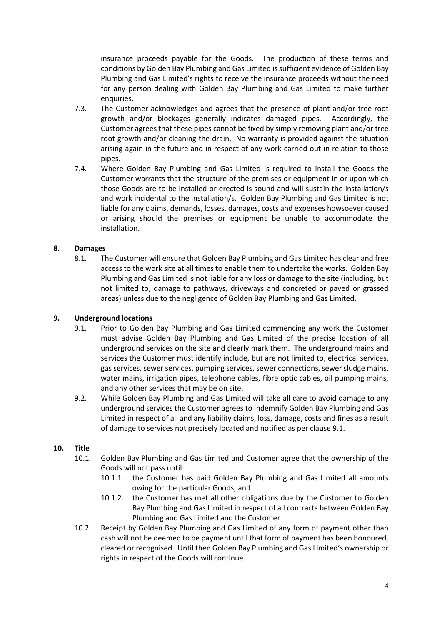insurance proceeds payable for the Goods. The production of these terms and conditions by Golden Bay Plumbing and Gas Limited is sufficient evidence of Golden Bay Plumbing and Gas Limited's rights to receive the insurance proceeds without the need for any person dealing with Golden Bay Plumbing and Gas Limited to make further enquiries.

- 7.3. The Customer acknowledges and agrees that the presence of plant and/or tree root growth and/or blockages generally indicates damaged pipes. Accordingly, the Customer agrees that these pipes cannot be fixed by simply removing plant and/or tree root growth and/or cleaning the drain. No warranty is provided against the situation arising again in the future and in respect of any work carried out in relation to those pipes.
- 7.4. Where Golden Bay Plumbing and Gas Limited is required to install the Goods the Customer warrants that the structure of the premises or equipment in or upon which those Goods are to be installed or erected is sound and will sustain the installation/s and work incidental to the installation/s. Golden Bay Plumbing and Gas Limited is not liable for any claims, demands, losses, damages, costs and expenses howsoever caused or arising should the premises or equipment be unable to accommodate the installation.

## **8. Damages**

8.1. The Customer will ensure that Golden Bay Plumbing and Gas Limited has clear and free access to the work site at all times to enable them to undertake the works. Golden Bay Plumbing and Gas Limited is not liable for any loss or damage to the site (including, but not limited to, damage to pathways, driveways and concreted or paved or grassed areas) unless due to the negligence of Golden Bay Plumbing and Gas Limited.

#### **9. Underground locations**

- 9.1. Prior to Golden Bay Plumbing and Gas Limited commencing any work the Customer must advise Golden Bay Plumbing and Gas Limited of the precise location of all underground services on the site and clearly mark them. The underground mains and services the Customer must identify include, but are not limited to, electrical services, gas services, sewer services, pumping services, sewer connections, sewer sludge mains, water mains, irrigation pipes, telephone cables, fibre optic cables, oil pumping mains, and any other services that may be on site.
- 9.2. While Golden Bay Plumbing and Gas Limited will take all care to avoid damage to any underground services the Customer agrees to indemnify Golden Bay Plumbing and Gas Limited in respect of all and any liability claims, loss, damage, costs and fines as a result of damage to services not precisely located and notified as per clause 9.1.

#### **10. Title**

- 10.1. Golden Bay Plumbing and Gas Limited and Customer agree that the ownership of the Goods will not pass until:
	- 10.1.1. the Customer has paid Golden Bay Plumbing and Gas Limited all amounts owing for the particular Goods; and
	- 10.1.2. the Customer has met all other obligations due by the Customer to Golden Bay Plumbing and Gas Limited in respect of all contracts between Golden Bay Plumbing and Gas Limited and the Customer.
- 10.2. Receipt by Golden Bay Plumbing and Gas Limited of any form of payment other than cash will not be deemed to be payment until that form of payment has been honoured, cleared or recognised. Until then Golden Bay Plumbing and Gas Limited's ownership or rights in respect of the Goods will continue.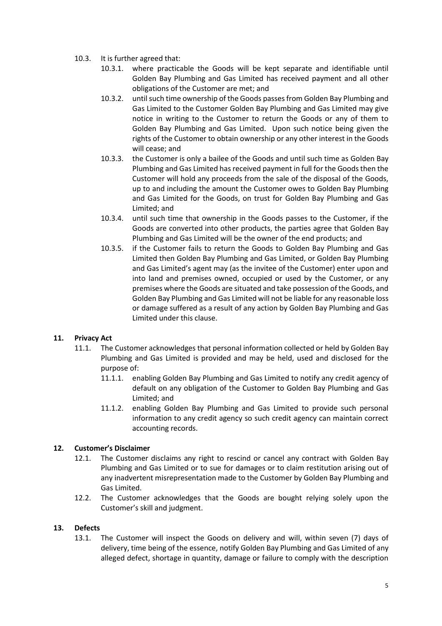- 10.3. It is further agreed that:
	- 10.3.1. where practicable the Goods will be kept separate and identifiable until Golden Bay Plumbing and Gas Limited has received payment and all other obligations of the Customer are met; and
	- 10.3.2. until such time ownership of the Goods passesfrom Golden Bay Plumbing and Gas Limited to the Customer Golden Bay Plumbing and Gas Limited may give notice in writing to the Customer to return the Goods or any of them to Golden Bay Plumbing and Gas Limited. Upon such notice being given the rights of the Customer to obtain ownership or any other interest in the Goods will cease; and
	- 10.3.3. the Customer is only a bailee of the Goods and until such time as Golden Bay Plumbing and Gas Limited has received payment in full for the Goods then the Customer will hold any proceeds from the sale of the disposal of the Goods, up to and including the amount the Customer owes to Golden Bay Plumbing and Gas Limited for the Goods, on trust for Golden Bay Plumbing and Gas Limited; and
	- 10.3.4. until such time that ownership in the Goods passes to the Customer, if the Goods are converted into other products, the parties agree that Golden Bay Plumbing and Gas Limited will be the owner of the end products; and
	- 10.3.5. if the Customer fails to return the Goods to Golden Bay Plumbing and Gas Limited then Golden Bay Plumbing and Gas Limited, or Golden Bay Plumbing and Gas Limited's agent may (as the invitee of the Customer) enter upon and into land and premises owned, occupied or used by the Customer, or any premises where the Goods are situated and take possession of the Goods, and Golden Bay Plumbing and Gas Limited will not be liable for any reasonable loss or damage suffered as a result of any action by Golden Bay Plumbing and Gas Limited under this clause.

# **11. Privacy Act**

- 11.1. The Customer acknowledges that personal information collected or held by Golden Bay Plumbing and Gas Limited is provided and may be held, used and disclosed for the purpose of:
	- 11.1.1. enabling Golden Bay Plumbing and Gas Limited to notify any credit agency of default on any obligation of the Customer to Golden Bay Plumbing and Gas Limited; and
	- 11.1.2. enabling Golden Bay Plumbing and Gas Limited to provide such personal information to any credit agency so such credit agency can maintain correct accounting records.

## **12. Customer's Disclaimer**

- 12.1. The Customer disclaims any right to rescind or cancel any contract with Golden Bay Plumbing and Gas Limited or to sue for damages or to claim restitution arising out of any inadvertent misrepresentation made to the Customer by Golden Bay Plumbing and Gas Limited.
- 12.2. The Customer acknowledges that the Goods are bought relying solely upon the Customer's skill and judgment.

## **13. Defects**

13.1. The Customer will inspect the Goods on delivery and will, within seven (7) days of delivery, time being of the essence, notify Golden Bay Plumbing and Gas Limited of any alleged defect, shortage in quantity, damage or failure to comply with the description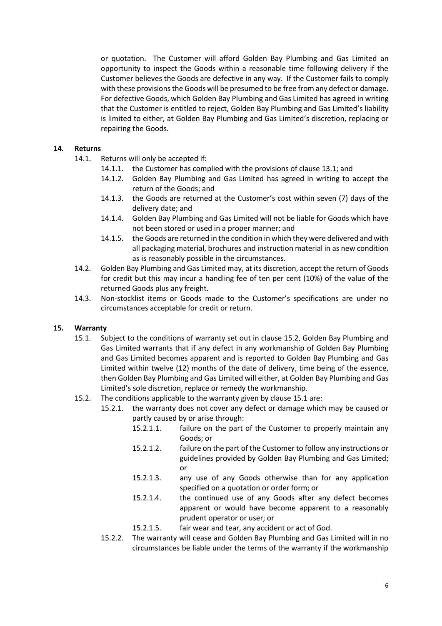or quotation. The Customer will afford Golden Bay Plumbing and Gas Limited an opportunity to inspect the Goods within a reasonable time following delivery if the Customer believes the Goods are defective in any way. If the Customer fails to comply with these provisions the Goods will be presumed to be free from any defect or damage. For defective Goods, which Golden Bay Plumbing and Gas Limited has agreed in writing that the Customer is entitled to reject, Golden Bay Plumbing and Gas Limited's liability is limited to either, at Golden Bay Plumbing and Gas Limited's discretion, replacing or repairing the Goods.

#### **14. Returns**

- 14.1. Returns will only be accepted if:
	- 14.1.1. the Customer has complied with the provisions of clause 13.1; and
	- 14.1.2. Golden Bay Plumbing and Gas Limited has agreed in writing to accept the return of the Goods; and
	- 14.1.3. the Goods are returned at the Customer's cost within seven (7) days of the delivery date; and
	- 14.1.4. Golden Bay Plumbing and Gas Limited will not be liable for Goods which have not been stored or used in a proper manner; and
	- 14.1.5. the Goods are returned in the condition in which they were delivered and with all packaging material, brochures and instruction material in as new condition as is reasonably possible in the circumstances.
- 14.2. Golden Bay Plumbing and Gas Limited may, at its discretion, accept the return of Goods for credit but this may incur a handling fee of ten per cent (10%) of the value of the returned Goods plus any freight.
- 14.3. Non-stocklist items or Goods made to the Customer's specifications are under no circumstances acceptable for credit or return.

#### **15. Warranty**

- 15.1. Subject to the conditions of warranty set out in clause 15.2, Golden Bay Plumbing and Gas Limited warrants that if any defect in any workmanship of Golden Bay Plumbing and Gas Limited becomes apparent and is reported to Golden Bay Plumbing and Gas Limited within twelve (12) months of the date of delivery, time being of the essence, then Golden Bay Plumbing and Gas Limited will either, at Golden Bay Plumbing and Gas Limited's sole discretion, replace or remedy the workmanship.
- 15.2. The conditions applicable to the warranty given by clause 15.1 are:
	- 15.2.1. the warranty does not cover any defect or damage which may be caused or partly caused by or arise through:
		- 15.2.1.1. failure on the part of the Customer to properly maintain any Goods; or
		- 15.2.1.2. failure on the part of the Customer to follow any instructions or guidelines provided by Golden Bay Plumbing and Gas Limited; or
		- 15.2.1.3. any use of any Goods otherwise than for any application specified on a quotation or order form; or
		- 15.2.1.4. the continued use of any Goods after any defect becomes apparent or would have become apparent to a reasonably prudent operator or user; or
		- 15.2.1.5. fair wear and tear, any accident or act of God.
	- 15.2.2. The warranty will cease and Golden Bay Plumbing and Gas Limited will in no circumstances be liable under the terms of the warranty if the workmanship